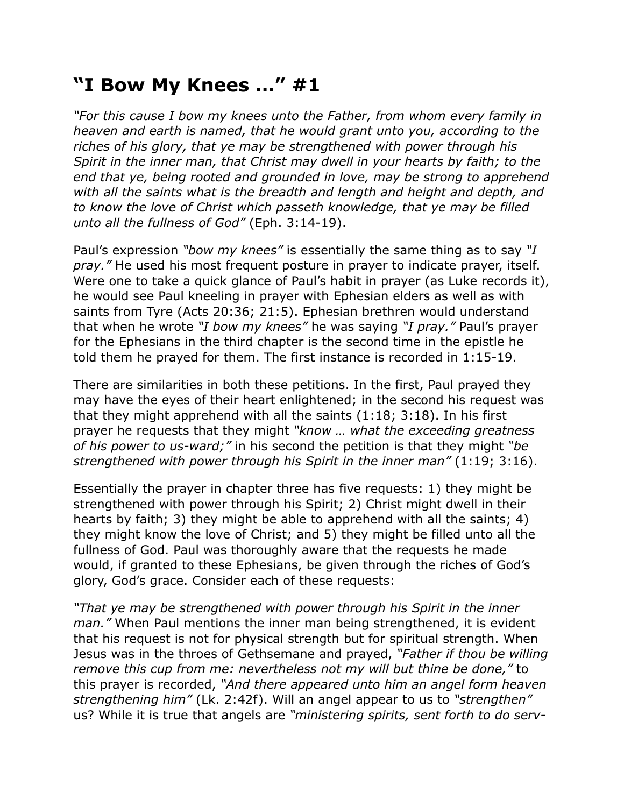## **"I Bow My Knees …" #1**

*"For this cause I bow my knees unto the Father, from whom every family in heaven and earth is named, that he would grant unto you, according to the riches of his glory, that ye may be strengthened with power through his Spirit in the inner man, that Christ may dwell in your hearts by faith; to the end that ye, being rooted and grounded in love, may be strong to apprehend with all the saints what is the breadth and length and height and depth, and to know the love of Christ which passeth knowledge, that ye may be filled unto all the fullness of God"* (Eph. 3:14-19).

Paul's expression *"bow my knees"* is essentially the same thing as to say *"I pray."* He used his most frequent posture in prayer to indicate prayer, itself. Were one to take a quick glance of Paul's habit in prayer (as Luke records it), he would see Paul kneeling in prayer with Ephesian elders as well as with saints from Tyre (Acts 20:36; 21:5). Ephesian brethren would understand that when he wrote *"I bow my knees"* he was saying *"I pray."* Paul's prayer for the Ephesians in the third chapter is the second time in the epistle he told them he prayed for them. The first instance is recorded in 1:15-19.

There are similarities in both these petitions. In the first, Paul prayed they may have the eyes of their heart enlightened; in the second his request was that they might apprehend with all the saints (1:18; 3:18). In his first prayer he requests that they might *"know … what the exceeding greatness of his power to us-ward;"* in his second the petition is that they might *"be strengthened with power through his Spirit in the inner man"* (1:19; 3:16).

Essentially the prayer in chapter three has five requests: 1) they might be strengthened with power through his Spirit; 2) Christ might dwell in their hearts by faith; 3) they might be able to apprehend with all the saints; 4) they might know the love of Christ; and 5) they might be filled unto all the fullness of God. Paul was thoroughly aware that the requests he made would, if granted to these Ephesians, be given through the riches of God's glory, God's grace. Consider each of these requests:

*"That ye may be strengthened with power through his Spirit in the inner man."* When Paul mentions the inner man being strengthened, it is evident that his request is not for physical strength but for spiritual strength. When Jesus was in the throes of Gethsemane and prayed, *"Father if thou be willing remove this cup from me: nevertheless not my will but thine be done,"* to this prayer is recorded, *"And there appeared unto him an angel form heaven strengthening him"* (Lk. 2:42f). Will an angel appear to us to *"strengthen"* us? While it is true that angels are *"ministering spirits, sent forth to do serv-*